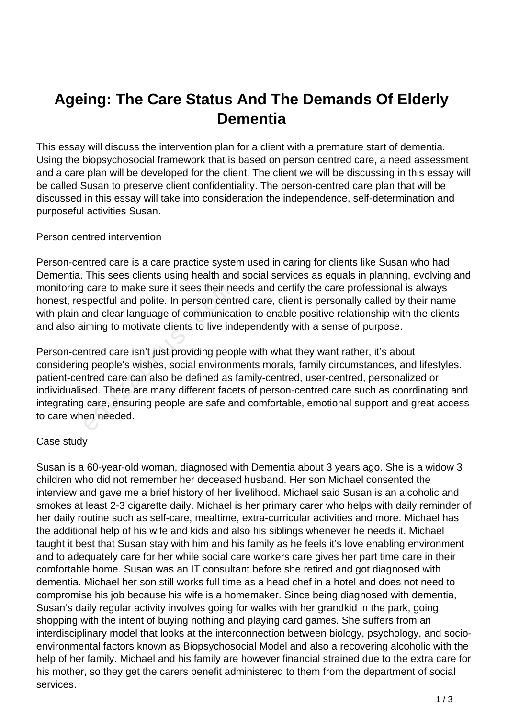# **Ageing: The Care Status And The Demands Of Elderly Dementia**

This essay will discuss the intervention plan for a client with a premature start of dementia. Using the biopsychosocial framework that is based on person centred care, a need assessment and a care plan will be developed for the client. The client we will be discussing in this essay will be called Susan to preserve client confidentiality. The person-centred care plan that will be discussed in this essay will take into consideration the independence, self-determination and purposeful activities Susan.

### Person centred intervention

Person-centred care is a care practice system used in caring for clients like Susan who had Dementia. This sees clients using health and social services as equals in planning, evolving and monitoring care to make sure it sees their needs and certify the care professional is always honest, respectful and polite. In person centred care, client is personally called by their name with plain and clear language of communication to enable positive relationship with the clients and also aiming to motivate clients to live independently with a sense of purpose.

Person-centred care isn't just providing people with what they want rather, it's about considering people's wishes, social environments morals, family circumstances, and lifestyles. patient-centred care can also be defined as family-centred, user-centred, personalized or individualised. There are many different facets of person-centred care such as coordinating and integrating care, ensuring people are safe and comfortable, emotional support and great access to care when needed. care to make sure it sees their ne<br>spectful and polite. In person cent<br>and clear language of communica<br>iming to motivate clients to live inc<br>ntred care isn't just providing peop<br>g people's wishes, social environr<br>ntred car

## Case study

Susan is a 60-year-old woman, diagnosed with Dementia about 3 years ago. She is a widow 3 children who did not remember her deceased husband. Her son Michael consented the interview and gave me a brief history of her livelihood. Michael said Susan is an alcoholic and smokes at least 2-3 cigarette daily. Michael is her primary carer who helps with daily reminder of her daily routine such as self-care, mealtime, extra-curricular activities and more. Michael has the additional help of his wife and kids and also his siblings whenever he needs it. Michael taught it best that Susan stay with him and his family as he feels it's love enabling environment and to adequately care for her while social care workers care gives her part time care in their comfortable home. Susan was an IT consultant before she retired and got diagnosed with dementia. Michael her son still works full time as a head chef in a hotel and does not need to compromise his job because his wife is a homemaker. Since being diagnosed with dementia, Susan's daily regular activity involves going for walks with her grandkid in the park, going shopping with the intent of buying nothing and playing card games. She suffers from an interdisciplinary model that looks at the interconnection between biology, psychology, and socioenvironmental factors known as Biopsychosocial Model and also a recovering alcoholic with the help of her family. Michael and his family are however financial strained due to the extra care for his mother, so they get the carers benefit administered to them from the department of social services.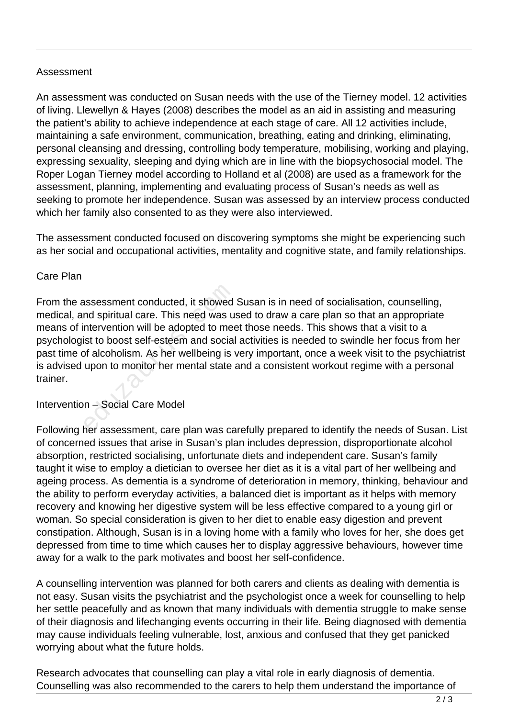## Assessment

An assessment was conducted on Susan needs with the use of the Tierney model. 12 activities of living. Llewellyn & Hayes (2008) describes the model as an aid in assisting and measuring the patient's ability to achieve independence at each stage of care. All 12 activities include, maintaining a safe environment, communication, breathing, eating and drinking, eliminating, personal cleansing and dressing, controlling body temperature, mobilising, working and playing, expressing sexuality, sleeping and dying which are in line with the biopsychosocial model. The Roper Logan Tierney model according to Holland et al (2008) are used as a framework for the assessment, planning, implementing and evaluating process of Susan's needs as well as seeking to promote her independence. Susan was assessed by an interview process conducted which her family also consented to as they were also interviewed.

The assessment conducted focused on discovering symptoms she might be experiencing such as her social and occupational activities, mentality and cognitive state, and family relationships.

## Care Plan

From the assessment conducted, it showed Susan is in need of socialisation, counselling, medical, and spiritual care. This need was used to draw a care plan so that an appropriate means of intervention will be adopted to meet those needs. This shows that a visit to a psychologist to boost self-esteem and social activities is needed to swindle her focus from her past time of alcoholism. As her wellbeing is very important, once a week visit to the psychiatrist is advised upon to monitor her mental state and a consistent workout regime with a personal trainer. ssessment conducted, it showed<br>nd spiritual care. This need was u<br>ntervention will be adopted to meer<br>ist to boost self-esteem and social<br>of alcoholism. As her wellbeing is<br>upon to monitor her mental state<br>n – Social Care

## Intervention – Social Care Model

Following her assessment, care plan was carefully prepared to identify the needs of Susan. List of concerned issues that arise in Susan's plan includes depression, disproportionate alcohol absorption, restricted socialising, unfortunate diets and independent care. Susan's family taught it wise to employ a dietician to oversee her diet as it is a vital part of her wellbeing and ageing process. As dementia is a syndrome of deterioration in memory, thinking, behaviour and the ability to perform everyday activities, a balanced diet is important as it helps with memory recovery and knowing her digestive system will be less effective compared to a young girl or woman. So special consideration is given to her diet to enable easy digestion and prevent constipation. Although, Susan is in a loving home with a family who loves for her, she does get depressed from time to time which causes her to display aggressive behaviours, however time away for a walk to the park motivates and boost her self-confidence.

A counselling intervention was planned for both carers and clients as dealing with dementia is not easy. Susan visits the psychiatrist and the psychologist once a week for counselling to help her settle peacefully and as known that many individuals with dementia struggle to make sense of their diagnosis and lifechanging events occurring in their life. Being diagnosed with dementia may cause individuals feeling vulnerable, lost, anxious and confused that they get panicked worrying about what the future holds.

Research advocates that counselling can play a vital role in early diagnosis of dementia. Counselling was also recommended to the carers to help them understand the importance of